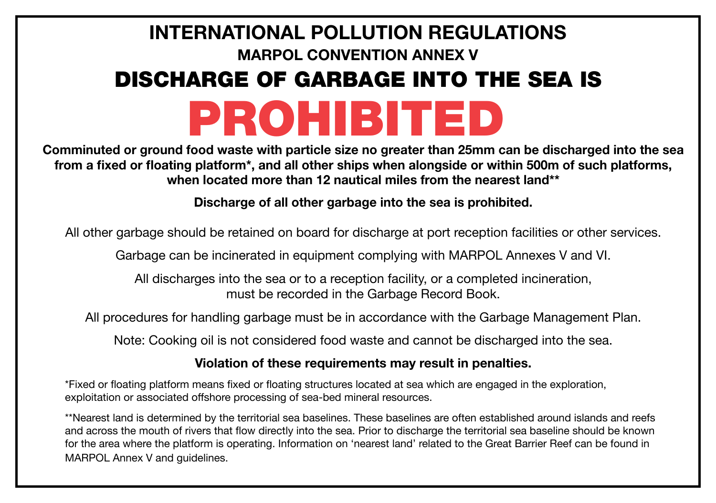# **INTERNATIONAL POLLUTION REGULATIONS MARPOL CONVENTION ANNEX V** PROHIBITED DISCHARGE OF GARBAGE INTO THE SEA IS

**Comminuted or ground food waste with particle size no greater than 25mm can be discharged into the sea from a fixed or floating platform\*, and all other ships when alongside or within 500m of such platforms, when located more than 12 nautical miles from the nearest land\*\*** 

**Discharge of all other garbage into the sea is prohibited.** 

All other garbage should be retained on board for discharge at port reception facilities or other services.

Garbage can be incinerated in equipment complying with MARPOL Annexes V and VI.

All discharges into the sea or to a reception facility, or a completed incineration, must be recorded in the Garbage Record Book.

All procedures for handling garbage must be in accordance with the Garbage Management Plan.

Note: Cooking oil is not considered food waste and cannot be discharged into the sea.

#### **Violation of these requirements may result in penalties.**

\*Fixed or floating platform means fixed or floating structures located at sea which are engaged in the exploration, exploitation or associated offshore processing of sea-bed mineral resources.

\*\*Nearest land is determined by the territorial sea baselines. These baselines are often established around islands and reefs and across the mouth of rivers that flow directly into the sea. Prior to discharge the territorial sea baseline should be known for the area where the platform is operating. Information on 'nearest land' related to the Great Barrier Reef can be found in MARPOL Annex V and guidelines.